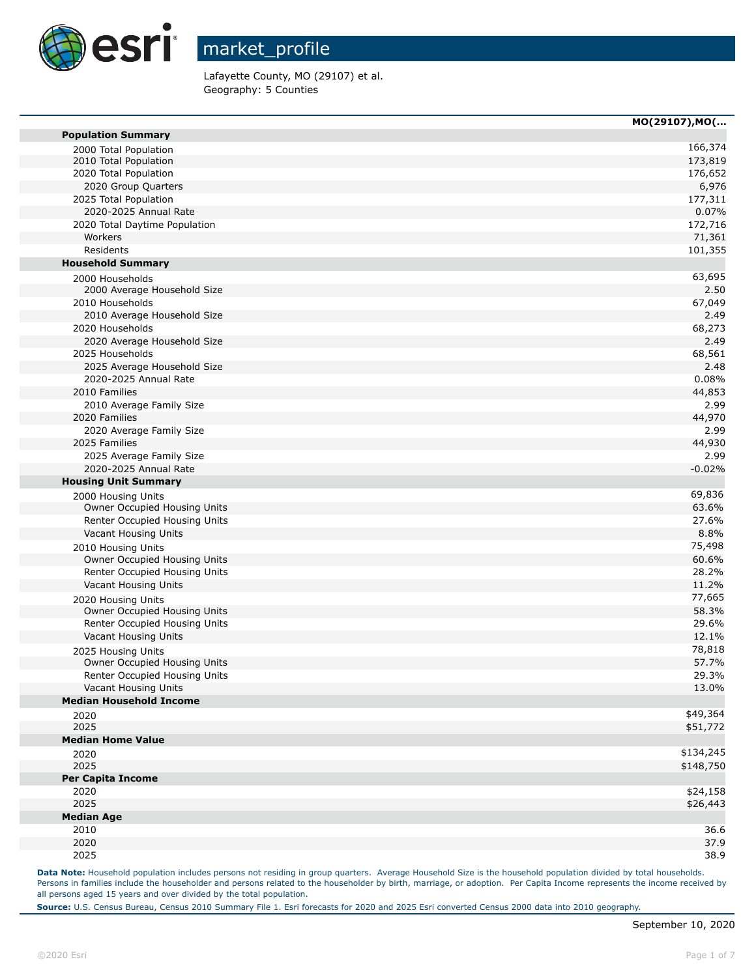

Lafayette County, MO (29107) et al. Geography: 5 Counties

|                                | MO(29107), MO( |
|--------------------------------|----------------|
| <b>Population Summary</b>      |                |
| 2000 Total Population          | 166,374        |
| 2010 Total Population          | 173,819        |
| 2020 Total Population          | 176,652        |
| 2020 Group Quarters            | 6,976          |
| 2025 Total Population          | 177,311        |
| 2020-2025 Annual Rate          | 0.07%          |
| 2020 Total Daytime Population  | 172,716        |
| Workers                        | 71,361         |
| Residents                      | 101,355        |
| <b>Household Summary</b>       |                |
| 2000 Households                | 63,695         |
| 2000 Average Household Size    | 2.50           |
| 2010 Households                | 67,049         |
| 2010 Average Household Size    | 2.49           |
| 2020 Households                | 68,273         |
| 2020 Average Household Size    | 2.49           |
| 2025 Households                | 68,561         |
| 2025 Average Household Size    | 2.48           |
| 2020-2025 Annual Rate          | 0.08%          |
| 2010 Families                  | 44,853         |
| 2010 Average Family Size       | 2.99           |
| 2020 Families                  | 44,970         |
| 2020 Average Family Size       | 2.99           |
| 2025 Families                  | 44,930         |
| 2025 Average Family Size       | 2.99           |
| 2020-2025 Annual Rate          | $-0.02%$       |
| <b>Housing Unit Summary</b>    |                |
| 2000 Housing Units             | 69,836         |
| Owner Occupied Housing Units   | 63.6%          |
| Renter Occupied Housing Units  | 27.6%          |
| Vacant Housing Units           | 8.8%           |
| 2010 Housing Units             | 75,498         |
| Owner Occupied Housing Units   | 60.6%          |
| Renter Occupied Housing Units  | 28.2%          |
| Vacant Housing Units           | 11.2%          |
| 2020 Housing Units             | 77,665         |
| Owner Occupied Housing Units   | 58.3%          |
| Renter Occupied Housing Units  | 29.6%          |
| Vacant Housing Units           | 12.1%          |
| 2025 Housing Units             | 78,818         |
| Owner Occupied Housing Units   | 57.7%          |
| Renter Occupied Housing Units  | 29.3%          |
| Vacant Housing Units           | 13.0%          |
| <b>Median Household Income</b> |                |
| 2020                           | \$49,364       |
| 2025                           | \$51,772       |
| <b>Median Home Value</b>       |                |
| 2020                           | \$134,245      |
| 2025                           | \$148,750      |
| <b>Per Capita Income</b>       |                |
| 2020                           | \$24,158       |
| 2025                           | \$26,443       |
| <b>Median Age</b>              |                |
| 2010                           | 36.6           |
| 2020                           | 37.9           |
| 2025                           | 38.9           |
|                                |                |

Data Note: Household population includes persons not residing in group quarters. Average Household Size is the household population divided by total households. Persons in families include the householder and persons related to the householder by birth, marriage, or adoption. Per Capita Income represents the income received by all persons aged 15 years and over divided by the total population.

**Source:** U.S. Census Bureau, Census 2010 Summary File 1. Esri forecasts for 2020 and 2025 Esri converted Census 2000 data into 2010 geography.

**COL**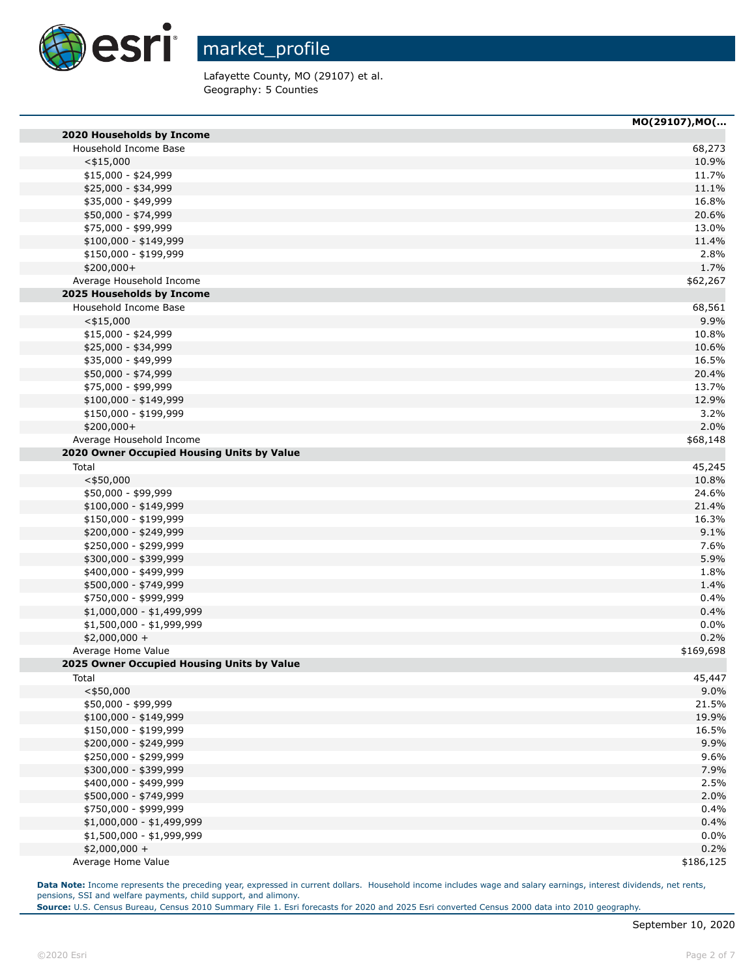

Lafayette County, MO (29107) et al. Geography: 5 Counties

| 2020 Households by Income<br>Household Income Base |           |
|----------------------------------------------------|-----------|
|                                                    |           |
|                                                    | 68,273    |
| $<$ \$15,000                                       | 10.9%     |
| \$15,000 - \$24,999                                | 11.7%     |
| \$25,000 - \$34,999                                | 11.1%     |
| \$35,000 - \$49,999                                | 16.8%     |
| \$50,000 - \$74,999                                | 20.6%     |
| \$75,000 - \$99,999                                | 13.0%     |
| \$100,000 - \$149,999                              | 11.4%     |
| \$150,000 - \$199,999                              | 2.8%      |
| \$200,000+                                         | 1.7%      |
| Average Household Income                           | \$62,267  |
| 2025 Households by Income                          |           |
| Household Income Base                              | 68,561    |
| $<$ \$15,000                                       | 9.9%      |
| \$15,000 - \$24,999                                | 10.8%     |
| \$25,000 - \$34,999                                | 10.6%     |
| \$35,000 - \$49,999                                | 16.5%     |
| \$50,000 - \$74,999                                | 20.4%     |
| \$75,000 - \$99,999                                | 13.7%     |
| $$100,000 - $149,999$                              | 12.9%     |
| \$150,000 - \$199,999                              | 3.2%      |
| \$200,000+                                         | 2.0%      |
| Average Household Income                           | \$68,148  |
| 2020 Owner Occupied Housing Units by Value         |           |
| Total                                              | 45,245    |
| $<$ \$50,000                                       | 10.8%     |
| \$50,000 - \$99,999                                | 24.6%     |
| \$100,000 - \$149,999                              | 21.4%     |
| \$150,000 - \$199,999                              | 16.3%     |
| \$200,000 - \$249,999                              | 9.1%      |
| \$250,000 - \$299,999                              | 7.6%      |
| \$300,000 - \$399,999                              | 5.9%      |
| \$400,000 - \$499,999                              | 1.8%      |
| \$500,000 - \$749,999                              | 1.4%      |
| \$750,000 - \$999,999                              | 0.4%      |
| \$1,000,000 - \$1,499,999                          | 0.4%      |
| \$1,500,000 - \$1,999,999                          | 0.0%      |
| \$2,000,000 +                                      | 0.2%      |
| Average Home Value                                 | \$169,698 |
| 2025 Owner Occupied Housing Units by Value         |           |
| Total                                              | 45,447    |
| $<$ \$50,000                                       | 9.0%      |
| \$50,000 - \$99,999                                | 21.5%     |
| $$100,000 - $149,999$                              | 19.9%     |
| \$150,000 - \$199,999                              | 16.5%     |
| \$200,000 - \$249,999                              | 9.9%      |
| \$250,000 - \$299,999                              | 9.6%      |
| \$300,000 - \$399,999                              | 7.9%      |
| \$400,000 - \$499,999                              | 2.5%      |
| \$500,000 - \$749,999                              | 2.0%      |
| \$750,000 - \$999,999                              | 0.4%      |
| \$1,000,000 - \$1,499,999                          | 0.4%      |
| \$1,500,000 - \$1,999,999                          | 0.0%      |
| \$2,000,000 +                                      | 0.2%      |
| Average Home Value                                 | \$186,125 |

Data Note: Income represents the preceding year, expressed in current dollars. Household income includes wage and salary earnings, interest dividends, net rents, pensions, SSI and welfare payments, child support, and alimony.

**Source:** U.S. Census Bureau, Census 2010 Summary File 1. Esri forecasts for 2020 and 2025 Esri converted Census 2000 data into 2010 geography.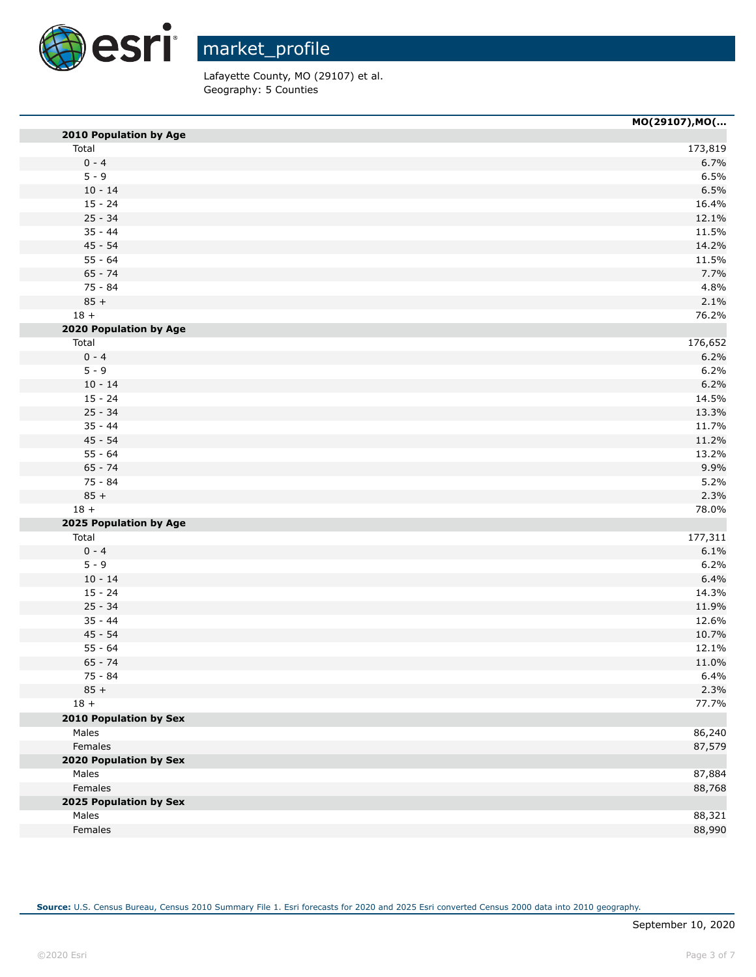

Lafayette County, MO (29107) et al. Geography: 5 Counties

|                        | MO(29107), MO( |
|------------------------|----------------|
| 2010 Population by Age |                |
| Total                  | 173,819        |
| $0 - 4$                | 6.7%           |
| $5 - 9$                | 6.5%           |
| $10 - 14$              | 6.5%           |
| $15 - 24$              | 16.4%          |
| $25 - 34$              | 12.1%          |
| $35 - 44$              | 11.5%          |
| $45 - 54$              | 14.2%          |
| $55 - 64$              | 11.5%          |
| $65 - 74$              | 7.7%           |
| $75 - 84$              | 4.8%           |
| $85 +$                 | 2.1%           |
| $18 +$                 | 76.2%          |
| 2020 Population by Age |                |
| Total                  | 176,652        |
| $0 - 4$                | 6.2%           |
| $5 - 9$                | 6.2%           |
| $10 - 14$              | 6.2%           |
| $15 - 24$              | 14.5%          |
| $25 - 34$              | 13.3%          |
| $35 - 44$              | 11.7%          |
| $45 - 54$              | 11.2%          |
| $55 - 64$              | 13.2%          |
| $65 - 74$              | 9.9%           |
| $75 - 84$              | 5.2%           |
| $85 +$                 | 2.3%           |
| $18 +$                 | 78.0%          |
| 2025 Population by Age |                |
| Total                  | 177,311        |
| $0 - 4$                | 6.1%           |
| $5 - 9$                | 6.2%           |
| $10 - 14$              | 6.4%           |
| $15 - 24$              | 14.3%          |
| $25 - 34$              | 11.9%          |
| $35 - 44$              | 12.6%          |
| $45 - 54$              | 10.7%          |
| $55 - 64$              | 12.1%          |
| $65 - 74$              | 11.0%          |
| 75 - 84                | 6.4%           |
| $85 +$                 | 2.3%           |
| $18 +$                 | 77.7%          |
| 2010 Population by Sex |                |
| Males                  | 86,240         |
| Females                | 87,579         |
| 2020 Population by Sex |                |
| Males                  | 87,884         |
| Females                | 88,768         |
| 2025 Population by Sex |                |
| Males                  | 88,321         |
| Females                |                |
|                        | 88,990         |
|                        |                |

**Source:** U.S. Census Bureau, Census 2010 Summary File 1. Esri forecasts for 2020 and 2025 Esri converted Census 2000 data into 2010 geography.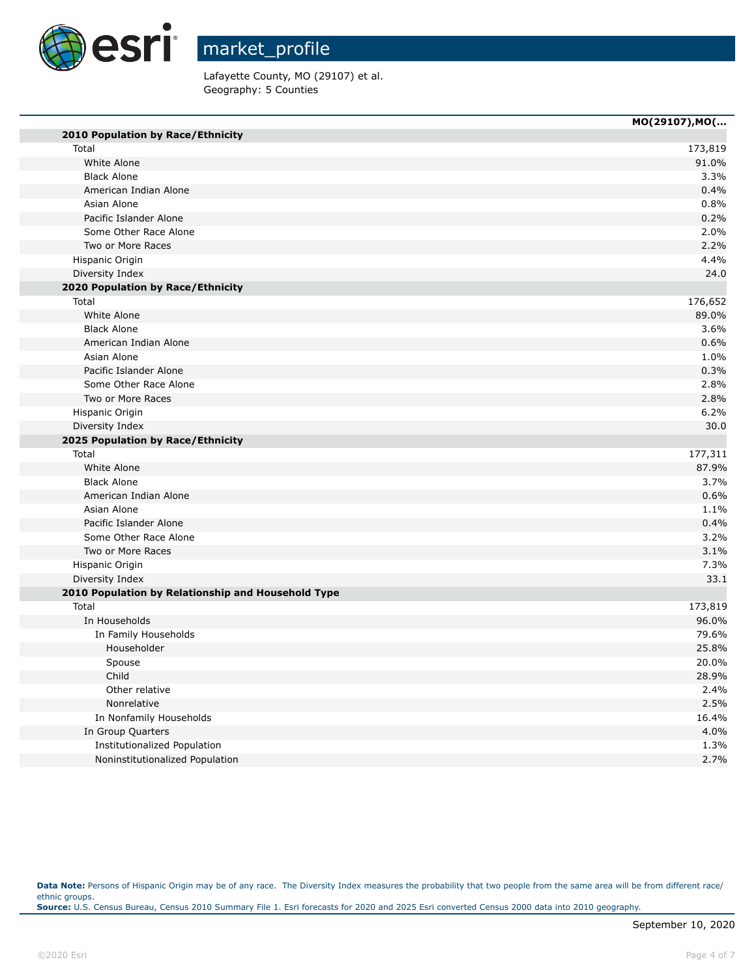

Lafayette County, MO (29107) et al. Geography: 5 Counties

|                                                    | MO(29107), MO( |
|----------------------------------------------------|----------------|
| 2010 Population by Race/Ethnicity                  |                |
| Total                                              | 173,819        |
| White Alone                                        | 91.0%          |
| <b>Black Alone</b>                                 | 3.3%           |
| American Indian Alone                              | 0.4%           |
| Asian Alone                                        | 0.8%           |
| Pacific Islander Alone                             | 0.2%           |
| Some Other Race Alone                              | 2.0%           |
| Two or More Races                                  | 2.2%           |
| Hispanic Origin                                    | 4.4%           |
| Diversity Index                                    | 24.0           |
| 2020 Population by Race/Ethnicity                  |                |
| Total                                              | 176,652        |
| White Alone                                        | 89.0%          |
| <b>Black Alone</b>                                 | 3.6%           |
| American Indian Alone                              | 0.6%           |
| Asian Alone                                        | 1.0%           |
| Pacific Islander Alone                             | 0.3%           |
| Some Other Race Alone                              | 2.8%           |
| Two or More Races                                  | 2.8%           |
| Hispanic Origin                                    | 6.2%           |
| Diversity Index                                    | 30.0           |
| 2025 Population by Race/Ethnicity                  |                |
| Total                                              | 177,311        |
| White Alone                                        | 87.9%          |
| <b>Black Alone</b>                                 | 3.7%           |
| American Indian Alone                              | 0.6%           |
| Asian Alone                                        | 1.1%           |
| Pacific Islander Alone                             | 0.4%           |
| Some Other Race Alone                              | 3.2%           |
| Two or More Races                                  | 3.1%           |
| Hispanic Origin                                    | 7.3%           |
| Diversity Index                                    | 33.1           |
| 2010 Population by Relationship and Household Type |                |
| Total                                              | 173,819        |
| In Households                                      | 96.0%          |
| In Family Households                               | 79.6%          |
| Householder                                        | 25.8%          |
| Spouse                                             | 20.0%          |
| Child                                              | 28.9%          |
| Other relative                                     | 2.4%           |
| Nonrelative                                        | 2.5%           |
| In Nonfamily Households                            | 16.4%          |
| In Group Quarters                                  | 4.0%           |
| Institutionalized Population                       | 1.3%           |
| Noninstitutionalized Population                    | 2.7%           |

Data Note: Persons of Hispanic Origin may be of any race. The Diversity Index measures the probability that two people from the same area will be from different race/ ethnic groups. **Source:** U.S. Census Bureau, Census 2010 Summary File 1. Esri forecasts for 2020 and 2025 Esri converted Census 2000 data into 2010 geography.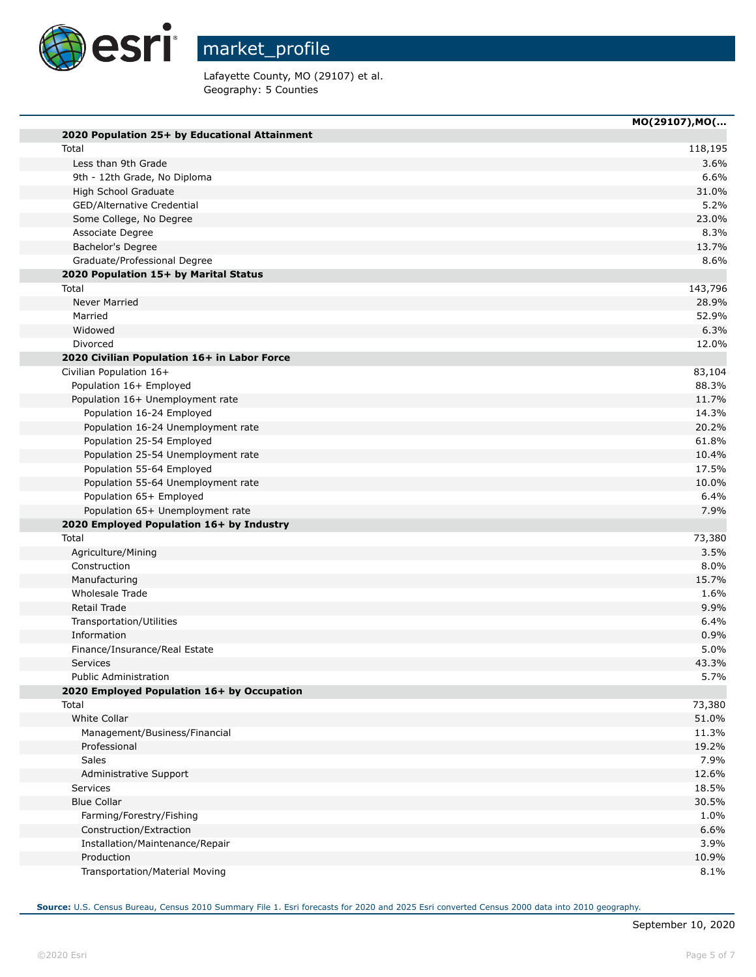

Lafayette County, MO (29107) et al. Geography: 5 Counties

| 2020 Population 25+ by Educational Attainment |              |
|-----------------------------------------------|--------------|
| Total                                         | 118,195      |
| Less than 9th Grade                           |              |
| 9th - 12th Grade, No Diploma                  | 3.6%<br>6.6% |
| High School Graduate                          | 31.0%        |
|                                               |              |
| GED/Alternative Credential                    | 5.2%         |
| Some College, No Degree                       | 23.0%        |
| Associate Degree                              | 8.3%         |
| Bachelor's Degree                             | 13.7%        |
| Graduate/Professional Degree                  | 8.6%         |
| 2020 Population 15+ by Marital Status         |              |
| Total                                         | 143,796      |
| Never Married                                 | 28.9%        |
| Married                                       | 52.9%        |
| Widowed                                       | 6.3%         |
| Divorced                                      | 12.0%        |
| 2020 Civilian Population 16+ in Labor Force   |              |
| Civilian Population 16+                       | 83,104       |
| Population 16+ Employed                       | 88.3%        |
| Population 16+ Unemployment rate              | 11.7%        |
| Population 16-24 Employed                     | 14.3%        |
| Population 16-24 Unemployment rate            | 20.2%        |
| Population 25-54 Employed                     | 61.8%        |
| Population 25-54 Unemployment rate            | 10.4%        |
| Population 55-64 Employed                     | 17.5%        |
| Population 55-64 Unemployment rate            | 10.0%        |
| Population 65+ Employed                       | 6.4%         |
| Population 65+ Unemployment rate              | 7.9%         |
| 2020 Employed Population 16+ by Industry      |              |
| Total                                         | 73,380       |
| Agriculture/Mining                            | 3.5%         |
| Construction                                  | 8.0%         |
| Manufacturing                                 | 15.7%        |
| Wholesale Trade                               | 1.6%         |
| Retail Trade                                  | 9.9%         |
| Transportation/Utilities                      | 6.4%         |
| Information                                   | 0.9%         |
| Finance/Insurance/Real Estate                 | 5.0%         |
|                                               | 43.3%        |
| Services                                      |              |
| <b>Public Administration</b>                  | 5.7%         |
| 2020 Employed Population 16+ by Occupation    |              |
| Total                                         | 73,380       |
| <b>White Collar</b>                           | 51.0%        |
| Management/Business/Financial                 | 11.3%        |
| Professional                                  | 19.2%        |
| Sales                                         | 7.9%         |
| Administrative Support                        | 12.6%        |
| Services                                      | 18.5%        |
| <b>Blue Collar</b>                            | 30.5%        |
| Farming/Forestry/Fishing                      | 1.0%         |
| Construction/Extraction                       | 6.6%         |
| Installation/Maintenance/Repair               | 3.9%         |
| Production                                    | 10.9%        |
| Transportation/Material Moving                | 8.1%         |

**Source:** U.S. Census Bureau, Census 2010 Summary File 1. Esri forecasts for 2020 and 2025 Esri converted Census 2000 data into 2010 geography.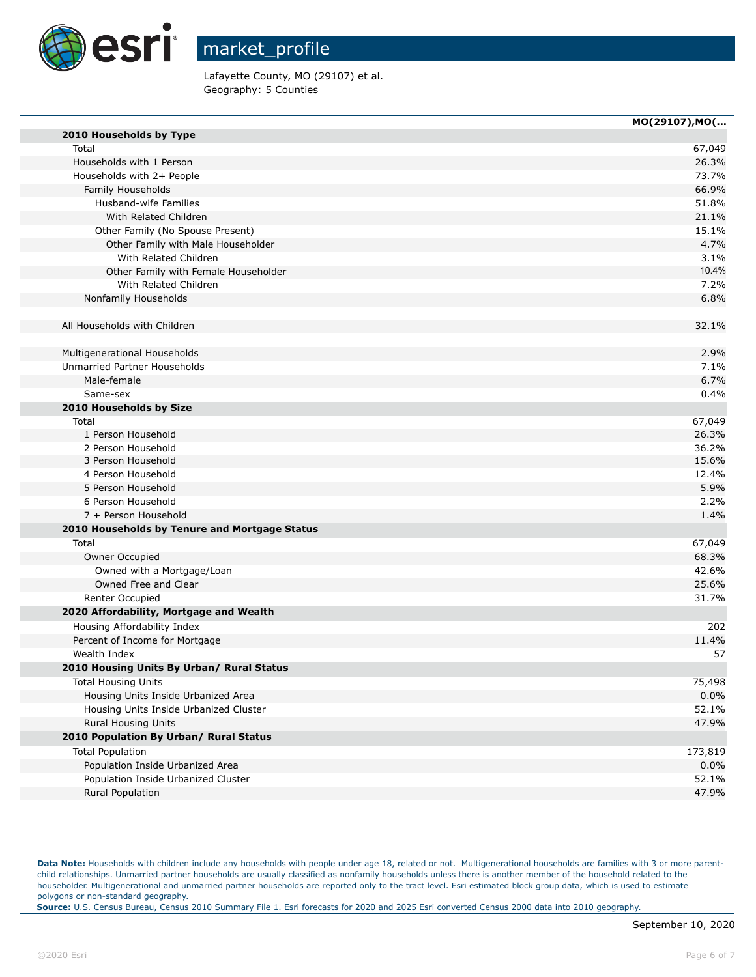

Lafayette County, MO (29107) et al. Geography: 5 Counties

|                                               | MO(29107), MO( |
|-----------------------------------------------|----------------|
| 2010 Households by Type                       |                |
| Total                                         | 67,049         |
| Households with 1 Person                      | 26.3%          |
| Households with 2+ People                     | 73.7%          |
| Family Households                             | 66.9%          |
| Husband-wife Families                         | 51.8%          |
| With Related Children                         | 21.1%          |
| Other Family (No Spouse Present)              | 15.1%          |
| Other Family with Male Householder            | 4.7%           |
| With Related Children                         | 3.1%           |
| Other Family with Female Householder          | 10.4%          |
| With Related Children                         | 7.2%           |
| Nonfamily Households                          | 6.8%           |
| All Households with Children                  | 32.1%          |
|                                               |                |
| Multigenerational Households                  | 2.9%           |
| Unmarried Partner Households<br>Male-female   | 7.1%<br>6.7%   |
| Same-sex                                      | 0.4%           |
|                                               |                |
| 2010 Households by Size<br>Total              | 67,049         |
| 1 Person Household                            | 26.3%          |
| 2 Person Household                            | 36.2%          |
| 3 Person Household                            | 15.6%          |
| 4 Person Household                            | 12.4%          |
| 5 Person Household                            | 5.9%           |
| 6 Person Household                            | 2.2%           |
| 7 + Person Household                          | 1.4%           |
| 2010 Households by Tenure and Mortgage Status |                |
| Total                                         | 67,049         |
| Owner Occupied                                | 68.3%          |
| Owned with a Mortgage/Loan                    | 42.6%          |
| Owned Free and Clear                          | 25.6%          |
| Renter Occupied                               | 31.7%          |
| 2020 Affordability, Mortgage and Wealth       |                |
| Housing Affordability Index                   | 202            |
| Percent of Income for Mortgage                | 11.4%          |
| Wealth Index                                  | 57             |
| 2010 Housing Units By Urban/ Rural Status     |                |
| <b>Total Housing Units</b>                    | 75,498         |
| Housing Units Inside Urbanized Area           | 0.0%           |
| Housing Units Inside Urbanized Cluster        | 52.1%          |
| Rural Housing Units                           | 47.9%          |
| 2010 Population By Urban/ Rural Status        |                |
| <b>Total Population</b>                       | 173,819        |
| Population Inside Urbanized Area              | 0.0%           |
| Population Inside Urbanized Cluster           | 52.1%          |
| Rural Population                              | 47.9%          |
|                                               |                |

Data Note: Households with children include any households with people under age 18, related or not. Multigenerational households are families with 3 or more parentchild relationships. Unmarried partner households are usually classified as nonfamily households unless there is another member of the household related to the householder. Multigenerational and unmarried partner households are reported only to the tract level. Esri estimated block group data, which is used to estimate polygons or non-standard geography.

**Source:** U.S. Census Bureau, Census 2010 Summary File 1. Esri forecasts for 2020 and 2025 Esri converted Census 2000 data into 2010 geography.